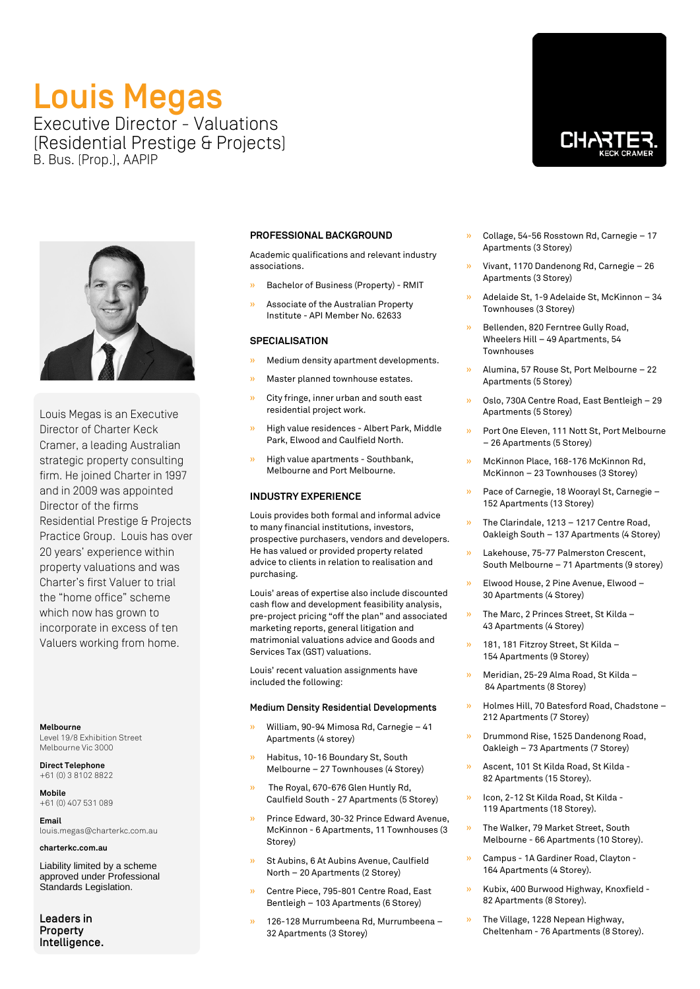# Louis Megas Executive Director - Valuations (Residential Prestige & Projects) B. Bus. (Prop.), AAPIP

Louis Megas is an Executive Director of Charter Keck Cramer, a leading Australian strategic property consulting firm. He joined Charter in 1997 and in 2009 was appointed Director of the firms Residential Prestige & Projects Practice Group. Louis has over 20 years' experience within property valuations and was Charter's first Valuer to trial the "home office" scheme which now has grown to incorporate in excess of ten Valuers working from home.

### **Melbourne** Level 19/8 Exhibition Street

Melbourne Vic 3000

**Direct Telephone** +61 (0) 3 8102 8822

**Mobile** +61 (0) 407 531 089

**Email** louis.megas@charterkc.com.au

**charterkc.com.au**

Liability limited by a scheme approved under Professional Standards Legislation.

Leaders in Property Intelligence.

## **PROFESSIONAL BACKGROUND**

Academic qualifications and relevant industry associations.

- » Bachelor of Business (Property) RMIT
- » Associate of the Australian Property Institute - API Member No. 62633

## **SPECIALISATION**

- » Medium density apartment developments.
- » Master planned townhouse estates.
- » City fringe, inner urban and south east residential project work.
- » High value residences Albert Park, Middle Park, Elwood and Caulfield North.
- » High value apartments Southbank, Melbourne and Port Melbourne.

## **INDUSTRY EXPERIENCE**

Louis provides both formal and informal advice to many financial institutions, investors, prospective purchasers, vendors and developers. He has valued or provided property related advice to clients in relation to realisation and purchasing.

Louis' areas of expertise also include discounted cash flow and development feasibility analysis, pre-project pricing "off the plan" and associated marketing reports, general litigation and matrimonial valuations advice and Goods and Services Tax (GST) valuations.

Louis' recent valuation assignments have included the following:

### Medium Density Residential Developments

- » William, 90-94 Mimosa Rd, Carnegie 41 Apartments (4 storey)
- » Habitus, 10-16 Boundary St, South Melbourne – 27 Townhouses (4 Storey)
- » The Royal, 670-676 Glen Huntly Rd, Caulfield South - 27 Apartments (5 Storey)
- » Prince Edward, 30-32 Prince Edward Avenue, McKinnon - 6 Apartments, 11 Townhouses (3 Storey)
- » St Aubins, 6 At Aubins Avenue, Caulfield North – 20 Apartments (2 Storey)
- » Centre Piece, 795-801 Centre Road, East Bentleigh – 103 Apartments (6 Storey)
- » 126-128 Murrumbeena Rd, Murrumbeena 32 Apartments (3 Storey)
- » Collage, 54-56 Rosstown Rd, Carnegie 17 Apartments (3 Storey)
- » Vivant, 1170 Dandenong Rd, Carnegie 26 Apartments (3 Storey)
- » Adelaide St, 1-9 Adelaide St, McKinnon 34 Townhouses (3 Storey)
- » Bellenden, 820 Ferntree Gully Road, Wheelers Hill – 49 Apartments, 54 Townhouses
- » Alumina, 57 Rouse St, Port Melbourne 22 Apartments (5 Storey)
- » Oslo, 730A Centre Road, East Bentleigh 29 Apartments (5 Storey)
- » Port One Eleven, 111 Nott St, Port Melbourne – 26 Apartments (5 Storey)
- » McKinnon Place, 168-176 McKinnon Rd, McKinnon – 23 Townhouses (3 Storey)
- » Pace of Carnegie, 18 Woorayl St, Carnegie 152 Apartments (13 Storey)
- » The Clarindale, 1213 1217 Centre Road, Oakleigh South – 137 Apartments (4 Storey)
- » Lakehouse, 75-77 Palmerston Crescent, South Melbourne – 71 Apartments (9 storey)
- » Elwood House, 2 Pine Avenue, Elwood 30 Apartments (4 Storey)
- » The Marc, 2 Princes Street, St Kilda 43 Apartments (4 Storey)
- » 181, 181 Fitzroy Street, St Kilda 154 Apartments (9 Storey)
- » Meridian, 25-29 Alma Road, St Kilda 84 Apartments (8 Storey)
- » Holmes Hill, 70 Batesford Road, Chadstone 212 Apartments (7 Storey)
- » Drummond Rise, 1525 Dandenong Road, Oakleigh – 73 Apartments (7 Storey)
- » Ascent, 101 St Kilda Road, St Kilda 82 Apartments (15 Storey).
- » Icon, 2-12 St Kilda Road, St Kilda 119 Apartments (18 Storey).
- » The Walker, 79 Market Street, South Melbourne - 66 Apartments (10 Storey).
- » Campus 1A Gardiner Road, Clayton 164 Apartments (4 Storey).
- » Kubix, 400 Burwood Highway, Knoxfield 82 Apartments (8 Storey).
- » The Village, 1228 Nepean Highway, Cheltenham - 76 Apartments (8 Storey).